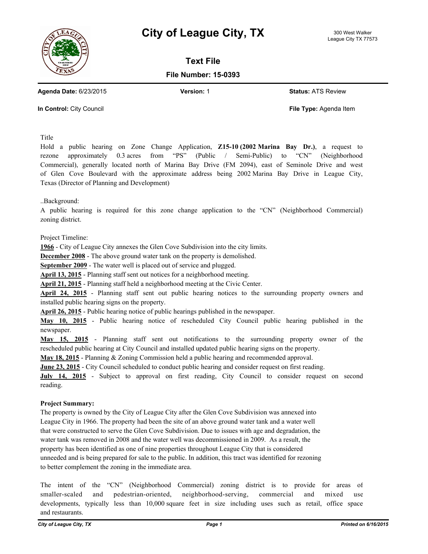



**Text File**

**File Number: 15-0393**

**Agenda Date:** 6/23/2015 **Version:** 1 **Status:** ATS Review

**In Control:** City Council **File Type:** Agenda Item

Title

Hold a public hearing on Zone Change Application, **Z15-10 (2002 Marina Bay Dr.)**, a request to rezone approximately 0.3 acres from "PS" (Public / Semi-Public) to "CN" (Neighborhood Commercial), generally located north of Marina Bay Drive (FM 2094), east of Seminole Drive and west of Glen Cove Boulevard with the approximate address being 2002 Marina Bay Drive in League City, Texas (Director of Planning and Development)

..Background:

A public hearing is required for this zone change application to the "CN" (Neighborhood Commercial) zoning district.

Project Timeline:

**1966** - City of League City annexes the Glen Cove Subdivision into the city limits.

**December 2008** - The above ground water tank on the property is demolished.

**September 2009** - The water well is placed out of service and plugged.

**April 13, 2015** - Planning staff sent out notices for a neighborhood meeting.

**April 21, 2015** - Planning staff held a neighborhood meeting at the Civic Center.

**April 24, 2015** - Planning staff sent out public hearing notices to the surrounding property owners and installed public hearing signs on the property.

**April 26, 2015** - Public hearing notice of public hearings published in the newspaper.

**May 10, 2015** - Public hearing notice of rescheduled City Council public hearing published in the newspaper.

**May 15, 2015** - Planning staff sent out notifications to the surrounding property owner of the rescheduled public hearing at City Council and installed updated public hearing signs on the property.

**May 18, 2015** - Planning & Zoning Commission held a public hearing and recommended approval.

**June 23, 2015** - City Council scheduled to conduct public hearing and consider request on first reading.

**July 14, 2015** - Subject to approval on first reading, City Council to consider request on second reading.

## **Project Summary:**

The property is owned by the City of League City after the Glen Cove Subdivision was annexed into League City in 1966. The property had been the site of an above ground water tank and a water well that were constructed to serve the Glen Cove Subdivision. Due to issues with age and degradation, the water tank was removed in 2008 and the water well was decommissioned in 2009. As a result, the property has been identified as one of nine properties throughout League City that is considered unneeded and is being prepared for sale to the public. In addition, this tract was identified for rezoning to better complement the zoning in the immediate area.

The intent of the "CN" (Neighborhood Commercial) zoning district is to provide for areas of smaller-scaled and pedestrian-oriented, neighborhood-serving, commercial and mixed use developments, typically less than 10,000 square feet in size including uses such as retail, office space and restaurants.